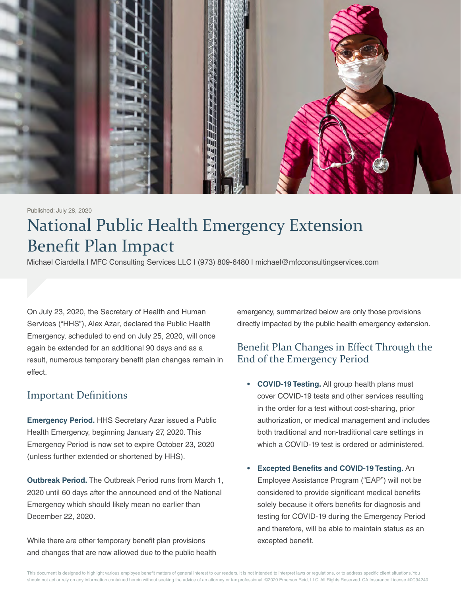

#### Published: July 28, 2020

# National Public Health Emergency Extension Benefit Plan Impact

Michael Ciardella | MFC Consulting Services LLC | (973) 809-6480 | michael@mfcconsultingservices.com

On July 23, 2020, the Secretary of Health and Human Services ("HHS"), Alex Azar, declared the Public Health Emergency, scheduled to end on July 25, 2020, will once again be extended for an additional 90 days and as a result, numerous temporary benefit plan changes remain in effect.

#### Important Definitions

**Emergency Period.** HHS Secretary Azar issued a Public Health Emergency, beginning January 27, 2020. This Emergency Period is now set to expire October 23, 2020 (unless further extended or shortened by HHS).

**Outbreak Period.** The Outbreak Period runs from March 1, 2020 until 60 days after the announced end of the National Emergency which should likely mean no earlier than December 22, 2020.

While there are other temporary benefit plan provisions and changes that are now allowed due to the public health emergency, summarized below are only those provisions directly impacted by the public health emergency extension.

### Benefit Plan Changes in Effect Through the End of the Emergency Period

- **• COVID-19 Testing.** All group health plans must cover COVID-19 tests and other services resulting in the order for a test without cost-sharing, prior authorization, or medical management and includes both traditional and non-traditional care settings in which a COVID-19 test is ordered or administered.
- **• Excepted Benefits and COVID-19 Testing.** An Employee Assistance Program ("EAP") will not be considered to provide significant medical benefits solely because it offers benefits for diagnosis and testing for COVID-19 during the Emergency Period and therefore, will be able to maintain status as an excepted benefit.